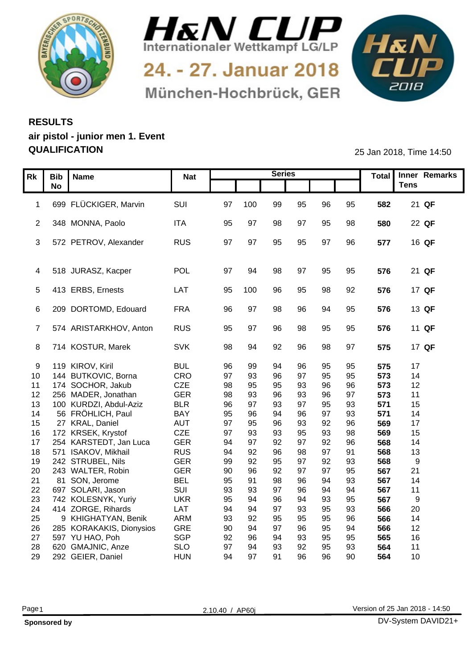



24. - 27. Januar 2018 München-Hochbrück, GER



## **RESULTS air pistol - junior men 1. Event QUALIFICATION** 25 Jan 2018, Time 14:50

|    | Rk   Bib   Name |                                              | <b>Nat</b>               |          |          | <b>Series</b> |                 |          |          |            | Total Inner Remarks |
|----|-----------------|----------------------------------------------|--------------------------|----------|----------|---------------|-----------------|----------|----------|------------|---------------------|
|    | <b>No</b>       |                                              |                          |          |          |               |                 |          |          |            | <b>Tens</b>         |
|    |                 |                                              |                          |          |          |               |                 |          |          |            |                     |
|    |                 | 1 699 FLÜCKIGER, Marvin                      | SUI                      | 97 100   |          | 99            | 95              | 96       | 95       | 582        | 21 QF               |
|    |                 |                                              |                          |          |          |               |                 |          |          |            |                     |
|    |                 | 2 348 MONNA, Paolo                           | <b>ITA</b>               | 95       | 97       | 98            | 97              | 95       | 98       | 580        | 22 QF               |
|    |                 | 3 572 PETROV, Alexander                      | <b>RUS</b>               | 97       | 97       |               |                 | 97       |          | 577        |                     |
|    |                 |                                              |                          |          |          | 95            | 95              |          | 96       |            | 16 QF               |
|    |                 |                                              |                          |          |          |               |                 |          |          |            |                     |
|    |                 | 4 518 JURASZ, Kacper                         | POL                      | 97       | -94      | 98            | 97              | 95       | 95       | 576        | 21 QF               |
|    |                 |                                              |                          |          |          |               |                 |          |          |            |                     |
|    |                 | 5 413 ERBS, Ernests                          | LAT                      | 95 100   |          | 96            | 95              | 98       | 92       | 576        | 17 QF               |
|    |                 |                                              |                          |          |          |               |                 |          |          |            |                     |
|    |                 | 6 209 DORTOMD, Edouard                       | <b>FRA</b>               | 96       | - 97     | 98            | 96              | 94       | 95       | 576        | 13 QF               |
|    |                 |                                              |                          |          |          |               |                 |          |          |            |                     |
|    |                 | 7 574 ARISTARKHOV, Anton                     | <b>RUS</b>               | 95 97    |          | 96            | 98              | 95       | 95       | 576        | 11 QF               |
|    |                 | 8 714 KOSTUR, Marek                          | <b>SVK</b>               | 98       | 94       | 92            | 96              | 98       | 97       | 575        | 17 QF               |
|    |                 |                                              |                          |          |          |               |                 |          |          |            |                     |
|    |                 | 9 119 KIROV, Kiril                           | <b>BUL</b>               | 96       | 99       | 94            | 96              | 95       | 95       | 575        | 17                  |
|    |                 | 10 144 BUTKOVIC, Borna                       | CRO                      | 97       | 93       | 96            | <b>97</b>       | 95       | 95       | 573        | 14                  |
|    |                 | 11 174 SOCHOR, Jakub                         | <b>CZE</b>               | 98       | 95       | 95            | 93              |          | 96       | 573        | 12                  |
|    |                 | 12 256 MADER, Jonathan                       | <b>GER</b>               | 98       | 93       | 96            | 93              | 96       | 97       | 573        | 11                  |
|    |                 | 13 100 KURDZI, Abdul-Aziz                    | <b>BLR</b>               | 96       | 97       | 93            | Q <sub>2</sub>  | 95       | 93       | 571        | 15                  |
|    |                 | 14 56 FRÖHLICH, Paul                         | <b>BAY</b>               | 95       | 96       | 94            | 96              | - Q7     | 93       | 571        | 14                  |
|    |                 | 15 27 KRAL, Daniel                           | <b>AUT</b>               | 97       | 95       | 96            | 93              | 92       | 96       | 569        | 17                  |
|    |                 | 16 172 KRSEK, Krystof                        | CZE                      | 97       | 93       | 93            | 95              | 93       | 98       | 569        | 15                  |
|    |                 | 17 254 KARSTEDT, Jan Luca                    | <b>GER</b>               | 94       | 97       | 92            | Q <sub>2</sub>  | 92       | 96       | 568        | 14                  |
|    |                 | 18 571 ISAKOV, Mikhail                       | <b>RUS</b>               | 94       | 92       | 96            | 98<br><b>Q7</b> | 97       | 91       | 568        | 13                  |
|    |                 | 19 242 STRUBEL, Nils<br>20 243 WALTER, Robin | <b>GER</b>               | 99<br>90 | 92<br>96 | 95<br>92      | <b>Q7</b>       | 92<br>97 | 93       | 568<br>567 | -9<br>21            |
|    |                 | 21 81 SON, Jerome                            | <b>GER</b><br><b>BEL</b> | 95       |          |               | 96              | $Q_4$    | 95<br>93 | 567        | 14                  |
|    |                 | 22 697 SOLARI, Jason                         | SUI                      | 93       | 93       |               |                 |          | 94       | 567        | 11                  |
|    |                 | 23 742 KOLESNYK, Yuriy                       | <b>UKR</b>               | 95       | 94       | 96            |                 | 93       | 95       | 567        | 9                   |
|    |                 | 24 414 ZORGE, Rihards                        | LAT                      | 94       | $Q_2$    | 97            |                 | 95       | 93       | 566        | 20                  |
|    |                 | 25 9 KHIGHATYAN, Benik                       | ARM                      | 93       | 92       | 95            | 95              | 95       | 96       | 566        | 14                  |
|    |                 | 26 285 KORAKAKIS, Dionysios                  | GRE                      | 90       | 94       | 97            | 96              | 95       | 94       | 566        | 12                  |
|    |                 | 27 597 YU HAO, Poh                           | <b>SGP</b>               | 92       | 96       | 94            | 93              | 95       | 95       | 565        | 16                  |
| 28 |                 | 620 GMAJNIC, Anze                            | <b>SLO</b>               | 97       |          | 93            | 92              | 95       | 93       | 564        | 11                  |
|    |                 | 29 292 GEIER, Daniel                         | <b>HUN</b>               | 94       | 97       | 91            | 96              | 96       | 90       | 564        | 10 <sup>1</sup>     |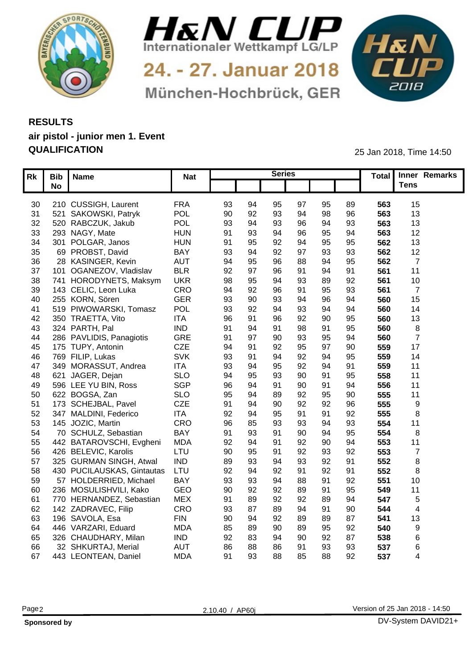



24. - 27. Januar 2018 München-Hochbrück, GER



## **RESULTS air pistol - junior men 1. Event QUALIFICATION** 25 Jan 2018, Time 14:50

| Rk              | Bib   Name                 | <b>Nat</b> |            |    | <b>Series</b> |       |    |                 | Total Inner Remarks |  |
|-----------------|----------------------------|------------|------------|----|---------------|-------|----|-----------------|---------------------|--|
|                 | <b>No</b>                  |            |            |    |               |       |    |                 | <b>Tens</b>         |  |
|                 |                            |            |            |    |               |       |    |                 |                     |  |
| 30              | 210 CUSSIGH, Laurent       | <b>FRA</b> | 93<br>94   |    | 95<br>97      | 95    | 89 | 563             | 15                  |  |
| 31              | 521 SAKOWSKI, Patryk       | <b>POL</b> | 90<br>92   |    | 93<br>94      | 98    | 96 | 563             | 13                  |  |
| 32 <sup>2</sup> | 520 RABCZUK, Jakub         | <b>POL</b> | 93         |    | 93<br>96      | $Q_4$ | 93 | 563             | 13                  |  |
| 33              | 293 NAGY, Mate             | <b>HUN</b> | 91<br>93   |    | 9۴            | 95    | 94 | 563             | 12                  |  |
| 34              | 301 POLGAR, Janos          | <b>HUN</b> | 91<br>95   |    | 92<br>94      | 95    | 95 | 562             | 13                  |  |
| 35              | 69 PROBST, David           | <b>BAY</b> | 93         |    | 92            | 93    | 93 | 562             | 12                  |  |
| 36              | 28 KASINGER, Kevin         | <b>AUT</b> | 94<br>95   |    | 38            |       | 95 | 562             |                     |  |
| 37              | 101 OGANEZOV, Vladislav    | <b>BLR</b> | 92         |    | 96            |       | 91 | 561             | 11                  |  |
| 38              | 741 HORODYNETS, Maksym     | <b>UKR</b> | 98         |    |               |       | 92 | 56 <sup>′</sup> | 10                  |  |
| 39              | 143 CELIC, Leon Luka       | CRO        | 94<br>92   |    | 96            | 95    | 93 | 56              |                     |  |
| 40              | 255 KORN, Sören            | <b>GER</b> | 93<br>90   |    | 93<br>94      | 96    | 94 | 560             | 15                  |  |
| -41             | 519 PIWOWARSKI, Tomasz     | <b>POL</b> | 93<br>92   |    | 93            |       | 94 | 560             | 14                  |  |
| 42              | 350 TRAETTA, Vito          | <b>ITA</b> | 96<br>. Q1 |    | 96<br>92      | 9C    | 95 | 560             | 13                  |  |
| 43              | 324 PARTH, Pal             | <b>IND</b> | 91<br>-94  | 91 | 98            | ۵     | 95 | 560             |                     |  |
| 44              | 286 PAVLIDIS, Panagiotis   | <b>GRE</b> | 97<br>91   |    | 93<br>90      | 95    | 94 | 560             |                     |  |
| 45              | 175 TUPY, Antonin          | <b>CZE</b> | 94<br>-91  |    | 95<br>92      | 07    | 90 | 559             | 17                  |  |
| 46              | 769 FILIP, Lukas           | SVK        | 93         |    | 92            |       | 95 | 559             | 14                  |  |
| 47              | 349 MORASSUT, Andrea       | <b>ITA</b> | 93         |    | 95<br>92      |       | 91 | 559             | 11                  |  |
| 48              | 621 JAGER, Dejan           | <b>SLO</b> | 94         |    | ٩ſ<br>93      |       | 95 | 558             | 11                  |  |
| 49              | 596 LEE YU BIN, Ross       | SGP        | 96<br>-Q4  | 91 | 90            | ۵۰    | 94 | 556             | 11                  |  |
| 50              | 622 BOGSA, Zan             | <b>SLO</b> | 95<br>-94  |    | 89<br>92      | 95    | 90 | 555             | 11                  |  |
| 51              | 173 SCHEJBAL, Pavel        | <b>CZE</b> | 91<br>-94  |    | 92<br>90      | 92    | 96 | 555             |                     |  |
| 52              | 347 MALDINI, Federico      | <b>ITA</b> | 92<br>-94  |    | 95<br>91      | ۵٠    | 92 | 555             |                     |  |
| 53              | 145 JOZIC, Martin          | CRO        | 96<br>85   |    | 93<br>93      | 94    | 93 | 554             | 11                  |  |
| 54              | 70 SCHULZ, Sebastian       | <b>BAY</b> | 91<br>93   |    | 90<br>91      | 94    | 95 | 554             |                     |  |
| 55              | 442 BATAROVSCHI, Evgheni   | <b>MDA</b> | 92<br>-94  |    | 92<br>91      | 90    | 94 | 553             | 11                  |  |
| 56              | 426 BELEVIC, Karolis       | LTU        | 90<br>95   | 91 | 92            | 93    | 92 | 553             |                     |  |
| 57              | 325 GURMAN SINGH, Atwal    | <b>IND</b> | 89<br>93   | 94 | 93            | 92    | 91 | 552             |                     |  |
| 58              | 430 PUCILAUSKAS, Gintautas | LTU        | 92<br>-94  |    | 91<br>92      | 92    | 91 | 552             |                     |  |
| 59              | 57 HOLDERRIED, Michael     | <b>BAY</b> | 93<br>93   | 94 | 88            | ۵     | 92 | 551             | 10                  |  |
| 60              | 236 MOSULISHVILI, Kako     | GEO        | 90<br>92   |    | 92<br>89      | .91   | 95 | 549             | 11                  |  |
| 61              | 770 HERNANDEZ, Sebastian   | <b>MEX</b> | 91<br>89   |    | 92<br>92      |       | 94 | 547             |                     |  |
| 62              | 142 ZADRAVEC, Filip        | CRO        | 87<br>93   |    | 89<br>94      |       | 90 | 544             |                     |  |
|                 | 196 SAVOLA, Esa<br>63      | <b>FIN</b> | 90<br>-94  |    | 92            | 89    | 87 | 54 <sup>°</sup> | 13                  |  |
| 64              | 446 VARZARI, Eduard        | <b>MDA</b> | 85         |    | 90<br>89      | 95    | 92 | 540             |                     |  |
| 65              | 326 CHAUDHARY, Milan       | <b>IND</b> | 92         |    | 90<br>94      | 92    | 87 | 538             |                     |  |
| 66              | 32 SHKURTAJ, Merial        | <b>AUT</b> | 86<br>88   |    | 86<br>91      | 93    | 93 | 537             |                     |  |
|                 |                            |            |            |    |               |       |    |                 |                     |  |